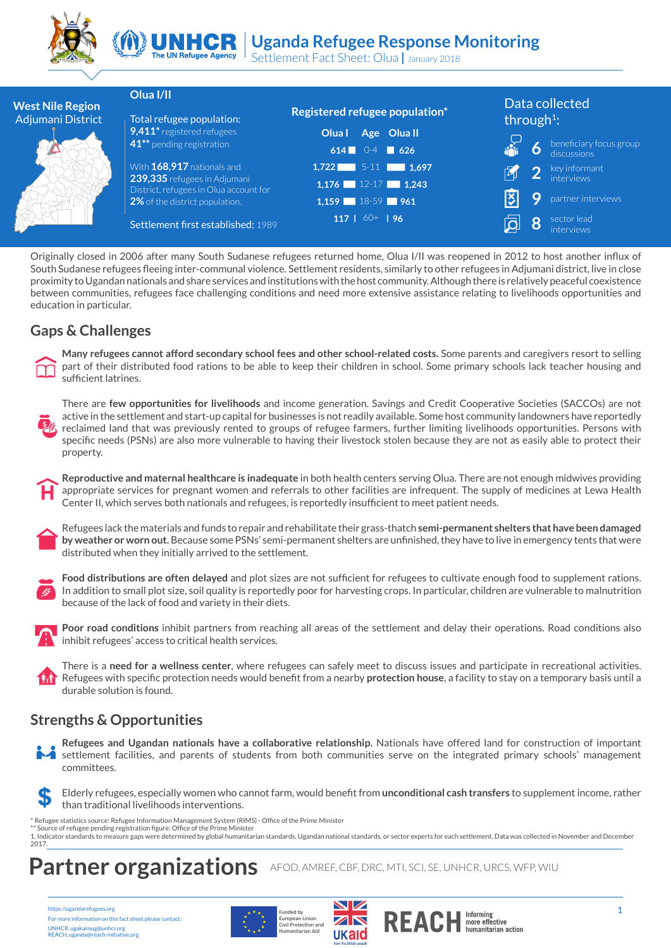



Settlement Fact Sheet: Olua **|** January 2018

|                                              | Olua I/II                                                              |                                | Data collected                              |
|----------------------------------------------|------------------------------------------------------------------------|--------------------------------|---------------------------------------------|
| <b>West Nile Region</b><br>Adjumani District | Total refugee population:                                              | Registered refugee population* | through <sup>1</sup> :                      |
|                                              | 9,411* registered refugees                                             | Olua I<br>Age Oluall           |                                             |
|                                              | 41 <sup>**</sup> pending registration                                  | 614 $0-4$ 626                  | beneficiary focus group<br>discussions<br>6 |
|                                              | With 168,917 nationals and                                             | $1,722$ 5-11 1,697             | key informant<br>2                          |
|                                              | 239,335 refugees in Adjumani<br>District, refugees in Olua account for | $1,176$ 12-17 1,243            |                                             |
|                                              | 2% of the district population.                                         | $1,159$ 18-59 961              | Q<br>partner interviews                     |
|                                              | Settlement first established: 1989                                     | 117   $60+$   96               | sector lead<br>8<br>interviews              |

Originally closed in 2006 after many South Sudanese refugees returned home, Olua I/II was reopened in 2012 to host another influx of South Sudanese refugees fleeing inter-communal violence. Settlement residents, similarly to other refugees in Adjumani district, live in close proximity to Ugandan nationals and share services and institutions with the host community. Although there is relatively peaceful coexistence between communities, refugees face challenging conditions and need more extensive assistance relating to livelihoods opportunities and education in particular.

#### **Gaps & Challenges**



**Many refugees cannot afford secondary school fees and other school-related costs.** Some parents and caregivers resort to selling part of their distributed food rations to be able to keep their children in school. Some primary schools lack teacher housing and sufficient latrines.



There are **few opportunities for livelihoods** and income generation. Savings and Credit Cooperative Societies (SACCOs) are not active in the settlement and start-up capital for businesses is not readily available. Some host community landowners have reportedly reclaimed land that was previously rented to groups of refugee farmers, further limiting livelihoods opportunities. Persons with specific needs (PSNs) are also more vulnerable to having their livestock stolen because they are not as easily able to protect their property.





Refugees lack the materials and funds to repair and rehabilitate their grass-thatch **semi-permanent shelters that have been damaged by weather or worn out.** Because some PSNs' semi-permanent shelters are unfinished, they have to live in emergency tents that were distributed when they initially arrived to the settlement.



**Food distributions are often delayed** and plot sizes are not sufficient for refugees to cultivate enough food to supplement rations. In addition to small plot size, soil quality is reportedly poor for harvesting crops. In particular, children are vulnerable to malnutrition because of the lack of food and variety in their diets.



**Poor road conditions** inhibit partners from reaching all areas of the settlement and delay their operations. Road conditions also inhibit refugees' access to critical health services.

There is a **need for a wellness center**, where refugees can safely meet to discuss issues and participate in recreational activities. **RAT** Refugees with specific protection needs would benefit from a nearby **protection house**, a facility to stay on a temporary basis until a durable solution is found.

### **Strengths & Opportunities**



\$ Elderly refugees, especially women who cannot farm, would benefit from **unconditional cash transfers** to supplement income, rather than traditional livelihoods interventions.

\* Refugee statistics source: Refugee Information Management System (RIMS) - Office of the Prime Minister \*\* Source of refugee pending registration figure: Office of the Prime Minister

1. Indicator standards to measure gaps were determined by global humanitarian standards, Ugandan national standards, or sector experts for each settlement. Data was collected in November and December 2017.

## **Partner organizations** AFOD, AMREF, CBF, DRC, MTI, SCI, SE, UNHCR, URCS, WFP, WIU

https://ugandarefugees.org For more information on this fact sheet please contact: UNHCR, ugakaimug@unhcr.org REACH, uganda@reach-initiative.org





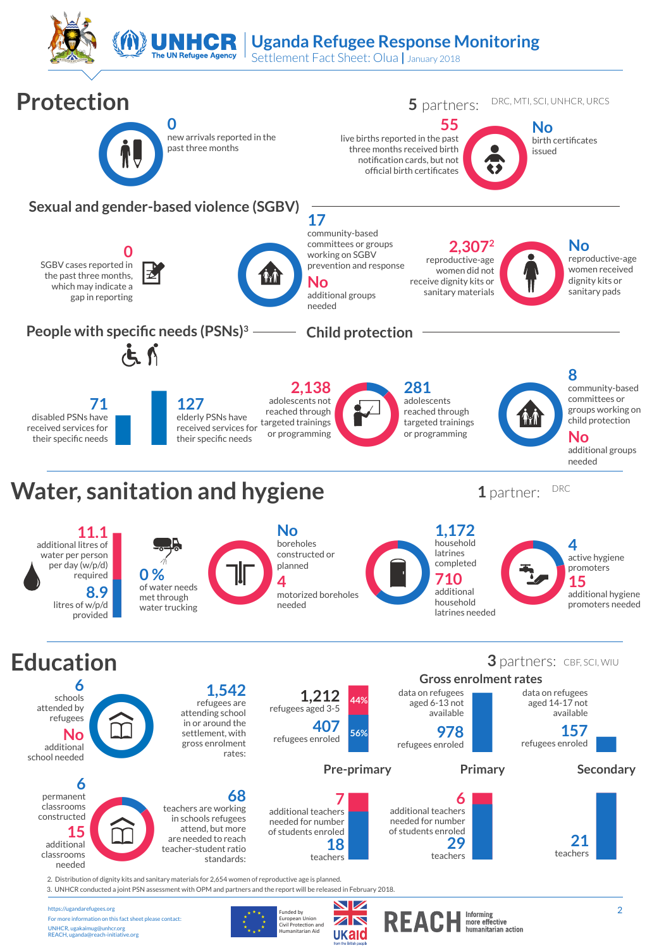

Settlement Fact Sheet: Olua **|** January 2018



European Union<br>Civil Protection and<br>Humanitarian Aid

ukaid

For more information on this fact sheet please contact: UNHCR, ugakaimug@unhcr.org REACH, uganda@reach-initiative.org